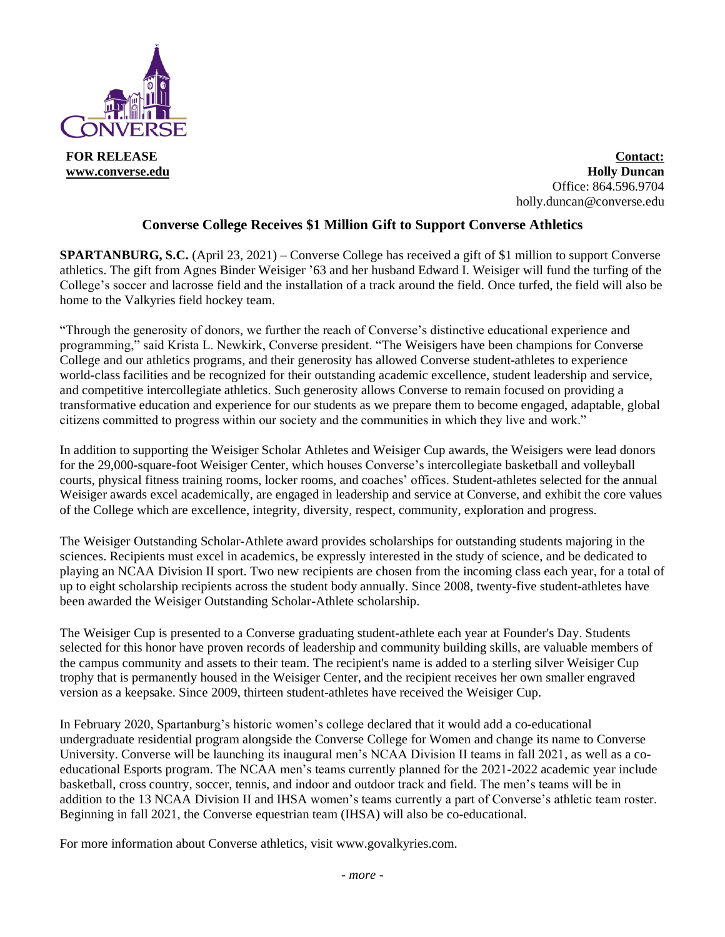

**Contact: Holly Duncan** Office: 864.596.9704 holly.duncan@converse.edu

## **Converse College Receives \$1 Million Gift to Support Converse Athletics**

**SPARTANBURG, S.C.** (April 23, 2021) – Converse College has received a gift of \$1 million to support Converse athletics. The gift from Agnes Binder Weisiger '63 and her husband Edward I. Weisiger will fund the turfing of the College's soccer and lacrosse field and the installation of a track around the field. Once turfed, the field will also be home to the Valkyries field hockey team.

"Through the generosity of donors, we further the reach of Converse's distinctive educational experience and programming," said Krista L. Newkirk, Converse president. "The Weisigers have been champions for Converse College and our athletics programs, and their generosity has allowed Converse student-athletes to experience world-class facilities and be recognized for their outstanding academic excellence, student leadership and service, and competitive intercollegiate athletics. Such generosity allows Converse to remain focused on providing a transformative education and experience for our students as we prepare them to become engaged, adaptable, global citizens committed to progress within our society and the communities in which they live and work."

In addition to supporting the Weisiger Scholar Athletes and Weisiger Cup awards, the Weisigers were lead donors for the 29,000-square-foot Weisiger Center, which houses Converse's intercollegiate basketball and volleyball courts, physical fitness training rooms, locker rooms, and coaches' offices. Student-athletes selected for the annual Weisiger awards excel academically, are engaged in leadership and service at Converse, and exhibit the core values of the College which are excellence, integrity, diversity, respect, community, exploration and progress.

The Weisiger Outstanding Scholar-Athlete award provides scholarships for outstanding students majoring in the sciences. Recipients must excel in academics, be expressly interested in the study of science, and be dedicated to playing an NCAA Division II sport. Two new recipients are chosen from the incoming class each year, for a total of up to eight scholarship recipients across the student body annually. Since 2008, twenty-five student-athletes have been awarded the Weisiger Outstanding Scholar-Athlete scholarship.

The Weisiger Cup is presented to a Converse graduating student-athlete each year at Founder's Day. Students selected for this honor have proven records of leadership and community building skills, are valuable members of the campus community and assets to their team. The recipient's name is added to a sterling silver Weisiger Cup trophy that is permanently housed in the Weisiger Center, and the recipient receives her own smaller engraved version as a keepsake. Since 2009, thirteen student-athletes have received the Weisiger Cup.

In February 2020, Spartanburg's historic women's college declared that it would add a co-educational undergraduate residential program alongside the Converse College for Women and change its name to Converse University. Converse will be launching its inaugural men's NCAA Division II teams in fall 2021, as well as a coeducational Esports program. The NCAA men's teams currently planned for the 2021-2022 academic year include basketball, cross country, soccer, tennis, and indoor and outdoor track and field. The men's teams will be in addition to the 13 NCAA Division II and IHSA women's teams currently a part of Converse's athletic team roster. Beginning in fall 2021, the Converse equestrian team (IHSA) will also be co-educational.

For more information about Converse athletics, visit www.govalkyries.com.